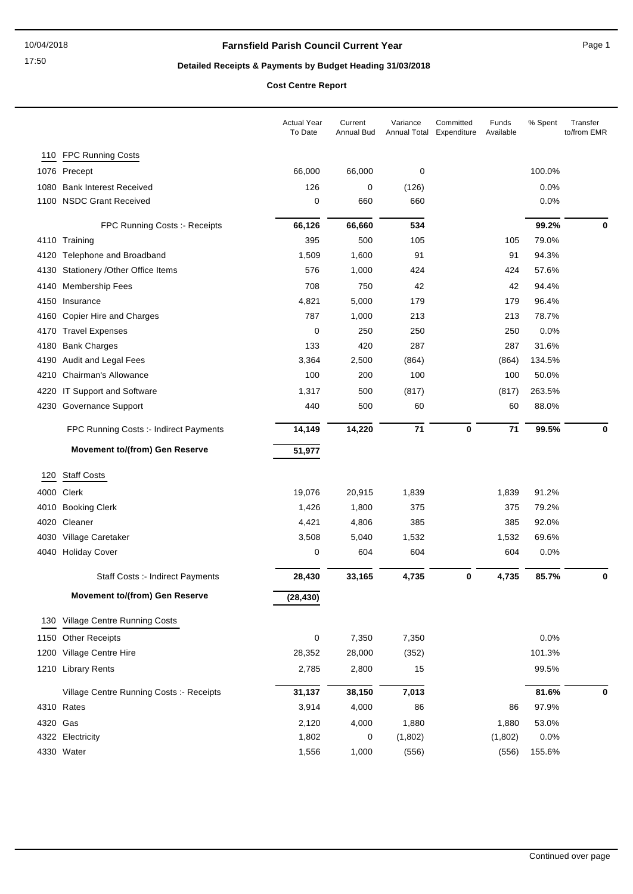# **Detailed Receipts & Payments by Budget Heading 31/03/2018**

|          |                                          | <b>Actual Year</b><br>To Date | Current<br><b>Annual Bud</b> | Variance<br>Annual Total | Committed<br>Expenditure | Funds<br>Available | % Spent | Transfer<br>to/from EMR |
|----------|------------------------------------------|-------------------------------|------------------------------|--------------------------|--------------------------|--------------------|---------|-------------------------|
|          | 110 FPC Running Costs                    |                               |                              |                          |                          |                    |         |                         |
|          | 1076 Precept                             | 66,000                        | 66,000                       | 0                        |                          |                    | 100.0%  |                         |
|          | 1080 Bank Interest Received              | 126                           | 0                            | (126)                    |                          |                    | 0.0%    |                         |
|          | 1100 NSDC Grant Received                 | 0                             | 660                          | 660                      |                          |                    | 0.0%    |                         |
|          | FPC Running Costs :- Receipts            | 66,126                        | 66,660                       | 534                      |                          |                    | 99.2%   | 0                       |
|          | 4110 Training                            | 395                           | 500                          | 105                      |                          | 105                | 79.0%   |                         |
|          | 4120 Telephone and Broadband             | 1,509                         | 1,600                        | 91                       |                          | 91                 | 94.3%   |                         |
|          | 4130 Stationery / Other Office Items     | 576                           | 1,000                        | 424                      |                          | 424                | 57.6%   |                         |
|          | 4140 Membership Fees                     | 708                           | 750                          | 42                       |                          | 42                 | 94.4%   |                         |
|          | 4150 Insurance                           | 4,821                         | 5,000                        | 179                      |                          | 179                | 96.4%   |                         |
|          | 4160 Copier Hire and Charges             | 787                           | 1,000                        | 213                      |                          | 213                | 78.7%   |                         |
|          | 4170 Travel Expenses                     | 0                             | 250                          | 250                      |                          | 250                | 0.0%    |                         |
| 4180     | <b>Bank Charges</b>                      | 133                           | 420                          | 287                      |                          | 287                | 31.6%   |                         |
|          | 4190 Audit and Legal Fees                | 3,364                         | 2,500                        | (864)                    |                          | (864)              | 134.5%  |                         |
|          | 4210 Chairman's Allowance                | 100                           | 200                          | 100                      |                          | 100                | 50.0%   |                         |
|          | 4220 IT Support and Software             | 1,317                         | 500                          | (817)                    |                          | (817)              | 263.5%  |                         |
|          | 4230 Governance Support                  | 440                           | 500                          | 60                       |                          | 60                 | 88.0%   |                         |
|          | FPC Running Costs :- Indirect Payments   | 14,149                        | 14,220                       | 71                       | 0                        | 71                 | 99.5%   | 0                       |
|          | <b>Movement to/(from) Gen Reserve</b>    | 51,977                        |                              |                          |                          |                    |         |                         |
| 120      | <b>Staff Costs</b>                       |                               |                              |                          |                          |                    |         |                         |
|          | 4000 Clerk                               | 19,076                        | 20,915                       | 1,839                    |                          | 1,839              | 91.2%   |                         |
|          | 4010 Booking Clerk                       | 1,426                         | 1,800                        | 375                      |                          | 375                | 79.2%   |                         |
|          | 4020 Cleaner                             | 4,421                         | 4,806                        | 385                      |                          | 385                | 92.0%   |                         |
|          | 4030 Village Caretaker                   | 3,508                         | 5,040                        | 1,532                    |                          | 1,532              | 69.6%   |                         |
|          | 4040 Holiday Cover                       | 0                             | 604                          | 604                      |                          | 604                | 0.0%    |                         |
|          | Staff Costs :- Indirect Payments         | 28,430                        | 33,165                       | 4,735                    | 0                        | 4,735              | 85.7%   | $\bf{0}$                |
|          | <b>Movement to/(from) Gen Reserve</b>    | (28, 430)                     |                              |                          |                          |                    |         |                         |
|          | 130 Village Centre Running Costs         |                               |                              |                          |                          |                    |         |                         |
|          | 1150 Other Receipts                      | 0                             | 7,350                        | 7,350                    |                          |                    | 0.0%    |                         |
|          | 1200 Village Centre Hire                 | 28,352                        | 28,000                       | (352)                    |                          |                    | 101.3%  |                         |
|          | 1210 Library Rents                       | 2,785                         | 2,800                        | 15                       |                          |                    | 99.5%   |                         |
|          | Village Centre Running Costs :- Receipts | 31,137                        | 38,150                       | 7,013                    |                          |                    | 81.6%   | 0                       |
|          | 4310 Rates                               | 3,914                         | 4,000                        | 86                       |                          | 86                 | 97.9%   |                         |
| 4320 Gas |                                          | 2,120                         | 4,000                        | 1,880                    |                          | 1,880              | 53.0%   |                         |
|          | 4322 Electricity                         | 1,802                         | 0                            | (1,802)                  |                          | (1,802)            | 0.0%    |                         |
|          | 4330 Water                               | 1,556                         | 1,000                        | (556)                    |                          | (556)              | 155.6%  |                         |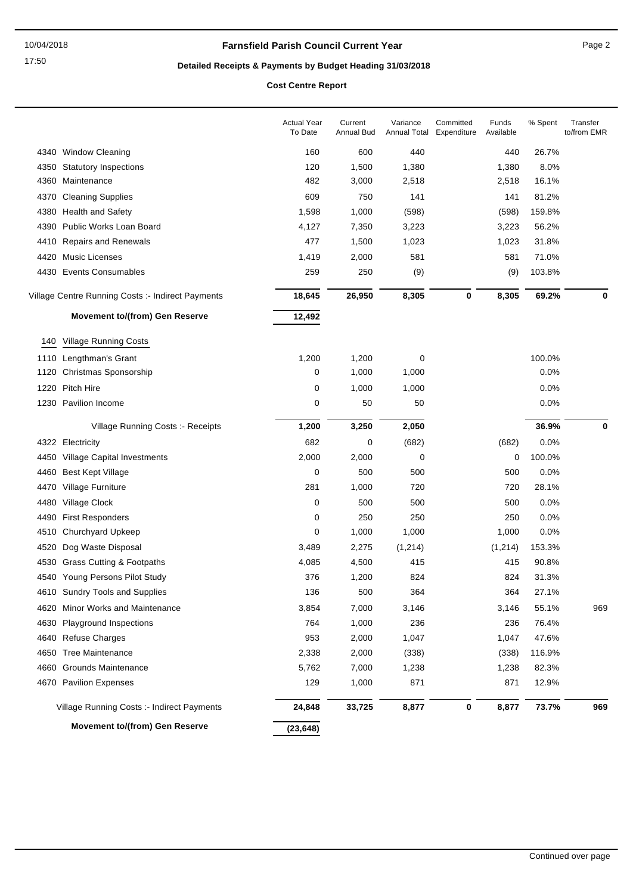# **Detailed Receipts & Payments by Budget Heading 31/03/2018**

|      |                                                   | <b>Actual Year</b><br>To Date | Current<br>Annual Bud | Variance<br>Annual Total | Committed<br>Expenditure | Funds<br>Available | % Spent | Transfer<br>to/from EMR |
|------|---------------------------------------------------|-------------------------------|-----------------------|--------------------------|--------------------------|--------------------|---------|-------------------------|
|      | 4340 Window Cleaning                              | 160                           | 600                   | 440                      |                          | 440                | 26.7%   |                         |
| 4350 | <b>Statutory Inspections</b>                      | 120                           | 1,500                 | 1,380                    |                          | 1,380              | 8.0%    |                         |
| 4360 | Maintenance                                       | 482                           | 3,000                 | 2,518                    |                          | 2,518              | 16.1%   |                         |
| 4370 | <b>Cleaning Supplies</b>                          | 609                           | 750                   | 141                      |                          | 141                | 81.2%   |                         |
| 4380 | <b>Health and Safety</b>                          | 1,598                         | 1,000                 | (598)                    |                          | (598)              | 159.8%  |                         |
| 4390 | Public Works Loan Board                           | 4,127                         | 7,350                 | 3,223                    |                          | 3,223              | 56.2%   |                         |
| 4410 | <b>Repairs and Renewals</b>                       | 477                           | 1,500                 | 1,023                    |                          | 1,023              | 31.8%   |                         |
|      | 4420 Music Licenses                               | 1,419                         | 2,000                 | 581                      |                          | 581                | 71.0%   |                         |
|      | 4430 Events Consumables                           | 259                           | 250                   | (9)                      |                          | (9)                | 103.8%  |                         |
|      | Village Centre Running Costs :- Indirect Payments | 18,645                        | 26,950                | 8,305                    | $\pmb{0}$                | 8,305              | 69.2%   | 0                       |
|      | <b>Movement to/(from) Gen Reserve</b>             | 12,492                        |                       |                          |                          |                    |         |                         |
| 140  | <b>Village Running Costs</b>                      |                               |                       |                          |                          |                    |         |                         |
| 1110 | Lengthman's Grant                                 | 1,200                         | 1,200                 | 0                        |                          |                    | 100.0%  |                         |
| 1120 | Christmas Sponsorship                             | 0                             | 1,000                 | 1,000                    |                          |                    | 0.0%    |                         |
| 1220 | Pitch Hire                                        | 0                             | 1,000                 | 1,000                    |                          |                    | 0.0%    |                         |
|      | 1230 Pavilion Income                              | 0                             | 50                    | 50                       |                          |                    | 0.0%    |                         |
|      | Village Running Costs: - Receipts                 | 1,200                         | 3,250                 | 2,050                    |                          |                    | 36.9%   | 0                       |
|      | 4322 Electricity                                  | 682                           | 0                     | (682)                    |                          | (682)              | $0.0\%$ |                         |
| 4450 | <b>Village Capital Investments</b>                | 2,000                         | 2,000                 | 0                        |                          | 0                  | 100.0%  |                         |
| 4460 | <b>Best Kept Village</b>                          | 0                             | 500                   | 500                      |                          | 500                | 0.0%    |                         |
| 4470 | Village Furniture                                 | 281                           | 1,000                 | 720                      |                          | 720                | 28.1%   |                         |
| 4480 | Village Clock                                     | 0                             | 500                   | 500                      |                          | 500                | 0.0%    |                         |
| 4490 | <b>First Responders</b>                           | 0                             | 250                   | 250                      |                          | 250                | 0.0%    |                         |
| 4510 | Churchyard Upkeep                                 | 0                             | 1,000                 | 1,000                    |                          | 1,000              | 0.0%    |                         |
| 4520 | Dog Waste Disposal                                | 3,489                         | 2,275                 | (1,214)                  |                          | (1, 214)           | 153.3%  |                         |
|      | 4530 Grass Cutting & Footpaths                    | 4,085                         | 4,500                 | 415                      |                          | 415                | 90.8%   |                         |
|      | 4540 Young Persons Pilot Study                    | 376                           | 1,200                 | 824                      |                          | 824                | 31.3%   |                         |
|      | 4610 Sundry Tools and Supplies                    | 136                           | 500                   | 364                      |                          | 364                | 27.1%   |                         |
|      | 4620 Minor Works and Maintenance                  | 3,854                         | 7,000                 | 3,146                    |                          | 3,146              | 55.1%   | 969                     |
| 4630 | Playground Inspections                            | 764                           | 1,000                 | 236                      |                          | 236                | 76.4%   |                         |
| 4640 | <b>Refuse Charges</b>                             | 953                           | 2,000                 | 1,047                    |                          | 1,047              | 47.6%   |                         |
| 4650 | <b>Tree Maintenance</b>                           | 2,338                         | 2,000                 | (338)                    |                          | (338)              | 116.9%  |                         |
| 4660 | <b>Grounds Maintenance</b>                        | 5,762                         | 7,000                 | 1,238                    |                          | 1,238              | 82.3%   |                         |
|      | 4670 Pavilion Expenses                            | 129                           | 1,000                 | 871                      |                          | 871                | 12.9%   |                         |
|      | Village Running Costs :- Indirect Payments        | 24,848                        | 33,725                | 8,877                    | 0                        | 8,877              | 73.7%   | 969                     |
|      | <b>Movement to/(from) Gen Reserve</b>             | (23, 648)                     |                       |                          |                          |                    |         |                         |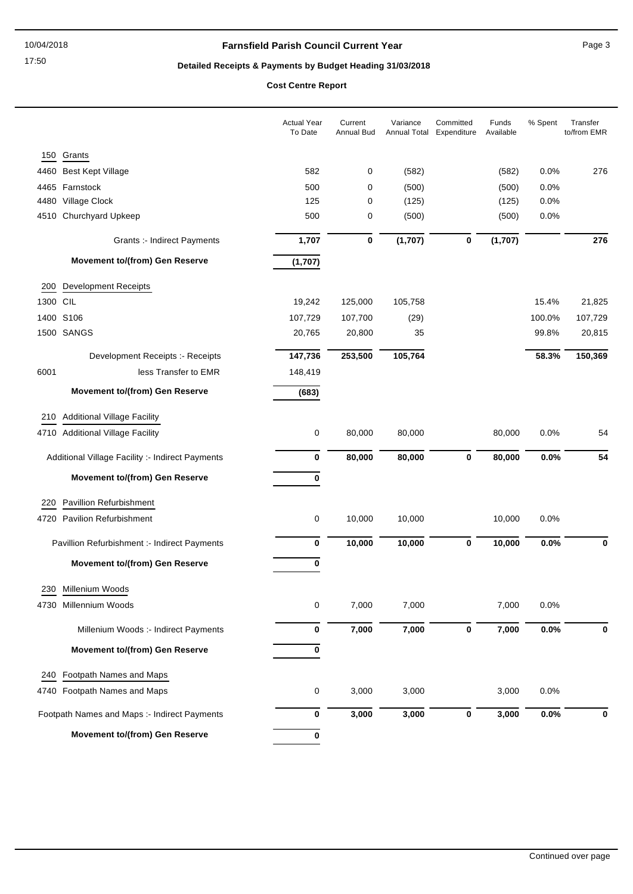# **Detailed Receipts & Payments by Budget Heading 31/03/2018**

|          |                                                  | <b>Actual Year</b><br>To Date | Current<br>Annual Bud | Variance | Committed<br>Annual Total Expenditure | Funds<br>Available | % Spent | Transfer<br>to/from EMR |
|----------|--------------------------------------------------|-------------------------------|-----------------------|----------|---------------------------------------|--------------------|---------|-------------------------|
| 150      | Grants                                           |                               |                       |          |                                       |                    |         |                         |
|          | 4460 Best Kept Village                           | 582                           | 0                     | (582)    |                                       | (582)              | 0.0%    | 276                     |
|          | 4465 Farnstock                                   | 500                           | 0                     | (500)    |                                       | (500)              | 0.0%    |                         |
|          | 4480 Village Clock                               | 125                           | 0                     | (125)    |                                       | (125)              | 0.0%    |                         |
|          | 4510 Churchyard Upkeep                           | 500                           | 0                     | (500)    |                                       | (500)              | 0.0%    |                         |
|          | <b>Grants :- Indirect Payments</b>               | 1,707                         | 0                     | (1,707)  | $\bf{0}$                              | (1,707)            |         | 276                     |
|          | <b>Movement to/(from) Gen Reserve</b>            | (1,707)                       |                       |          |                                       |                    |         |                         |
| 200      | <b>Development Receipts</b>                      |                               |                       |          |                                       |                    |         |                         |
| 1300 CIL |                                                  | 19,242                        | 125,000               | 105,758  |                                       |                    | 15.4%   | 21,825                  |
|          | 1400 S106                                        | 107,729                       | 107,700               | (29)     |                                       |                    | 100.0%  | 107,729                 |
|          | 1500 SANGS                                       | 20,765                        | 20,800                | 35       |                                       |                    | 99.8%   | 20,815                  |
|          | Development Receipts :- Receipts                 | 147,736                       | 253,500               | 105,764  |                                       |                    | 58.3%   | 150,369                 |
| 6001     | less Transfer to EMR                             | 148,419                       |                       |          |                                       |                    |         |                         |
|          | <b>Movement to/(from) Gen Reserve</b>            | (683)                         |                       |          |                                       |                    |         |                         |
| 210      | <b>Additional Village Facility</b>               |                               |                       |          |                                       |                    |         |                         |
|          | 4710 Additional Village Facility                 | 0                             | 80,000                | 80,000   |                                       | 80,000             | 0.0%    | 54                      |
|          | Additional Village Facility :- Indirect Payments | 0                             | 80,000                | 80,000   | $\bf{0}$                              | 80,000             | 0.0%    | 54                      |
|          | <b>Movement to/(from) Gen Reserve</b>            | $\pmb{0}$                     |                       |          |                                       |                    |         |                         |
| 220      | Pavillion Refurbishment                          |                               |                       |          |                                       |                    |         |                         |
|          | 4720 Pavilion Refurbishment                      | 0                             | 10,000                | 10,000   |                                       | 10,000             | 0.0%    |                         |
|          | Pavillion Refurbishment :- Indirect Payments     | $\bf{0}$                      | 10,000                | 10,000   | $\bf{0}$                              | 10,000             | 0.0%    | 0                       |
|          | <b>Movement to/(from) Gen Reserve</b>            | 0                             |                       |          |                                       |                    |         |                         |
|          | 230 Millenium Woods                              |                               |                       |          |                                       |                    |         |                         |
|          | 4730 Millennium Woods                            | 0                             | 7,000                 | 7,000    |                                       | 7,000              | 0.0%    |                         |
|          | Millenium Woods :- Indirect Payments             | 0                             | 7,000                 | 7,000    | $\bf{0}$                              | 7,000              | 0.0%    | 0                       |
|          | <b>Movement to/(from) Gen Reserve</b>            | 0                             |                       |          |                                       |                    |         |                         |
| 240      | Footpath Names and Maps                          |                               |                       |          |                                       |                    |         |                         |
|          | 4740 Footpath Names and Maps                     | 0                             | 3,000                 | 3,000    |                                       | 3,000              | 0.0%    |                         |
|          | Footpath Names and Maps :- Indirect Payments     | $\pmb{0}$                     | 3,000                 | 3,000    | $\pmb{0}$                             | 3,000              | 0.0%    | 0                       |
|          | Movement to/(from) Gen Reserve                   | 0                             |                       |          |                                       |                    |         |                         |